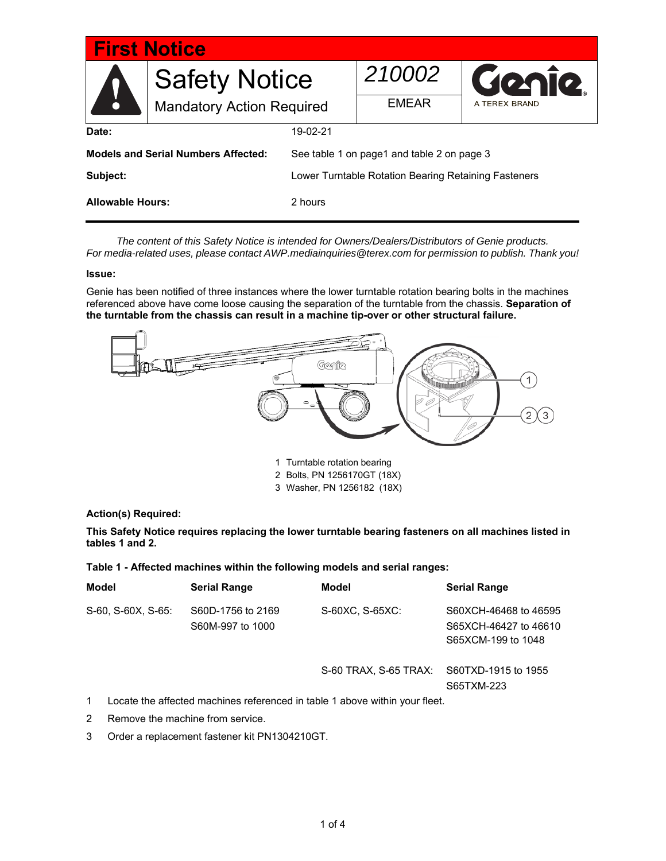| <b>First Notice</b>                        |                                                          |                                                      |              |               |  |
|--------------------------------------------|----------------------------------------------------------|------------------------------------------------------|--------------|---------------|--|
|                                            | <b>Safety Notice</b><br><b>Mandatory Action Required</b> |                                                      | 210002       | Genie         |  |
| N                                          |                                                          |                                                      | <b>EMEAR</b> | A TEREX BRAND |  |
| Date:                                      |                                                          | 19-02-21                                             |              |               |  |
| <b>Models and Serial Numbers Affected:</b> |                                                          | See table 1 on page1 and table 2 on page 3           |              |               |  |
| Subject:                                   |                                                          | Lower Turntable Rotation Bearing Retaining Fasteners |              |               |  |
| <b>Allowable Hours:</b>                    |                                                          | 2 hours                                              |              |               |  |

*The content of this Safety Notice is intended for Owners/Dealers/Distributors of Genie products. For media-related uses, please contact AWP.mediainquiries@terex.com for permission to publish. Thank you!*

### **Issue:**

Genie has been notified of three instances where the lower turntable rotation bearing bolts in the machines referenced above have come loose causing the separation of the turntable from the chassis. **Separati**o**n of the turntable from the chassis can result in a machine tip-over or other structural failure.** 



1 Turntable rotation bearing

- 2 Bolts, PN 1256170GT (18X)
- 3 Washer, PN 1256182 (18X)

### **Action(s) Required:**

**This Safety Notice requires replacing the lower turntable bearing fasteners on all machines listed in tables 1 and 2.** 

| Table 1 - Affected machines within the following models and serial ranges: |  |  |  |  |  |  |  |  |
|----------------------------------------------------------------------------|--|--|--|--|--|--|--|--|
|----------------------------------------------------------------------------|--|--|--|--|--|--|--|--|

| <b>Model</b> |                                                                             | <b>Serial Range</b>                   | Model                 | <b>Serial Range</b>                                                  |  |  |
|--------------|-----------------------------------------------------------------------------|---------------------------------------|-----------------------|----------------------------------------------------------------------|--|--|
|              | S-60, S-60X, S-65:                                                          | S60D-1756 to 2169<br>S60M-997 to 1000 | S-60XC, S-65XC:       | S60XCH-46468 to 46595<br>S65XCH-46427 to 46610<br>S65XCM-199 to 1048 |  |  |
|              |                                                                             |                                       | S-60 TRAX, S-65 TRAX: | S60TXD-1915 to 1955<br>S65TXM-223                                    |  |  |
| 1            | Locate the affected machines referenced in table 1 above within your fleet. |                                       |                       |                                                                      |  |  |
| 2            | Remove the machine from service.                                            |                                       |                       |                                                                      |  |  |

3 Order a replacement fastener kit PN1304210GT.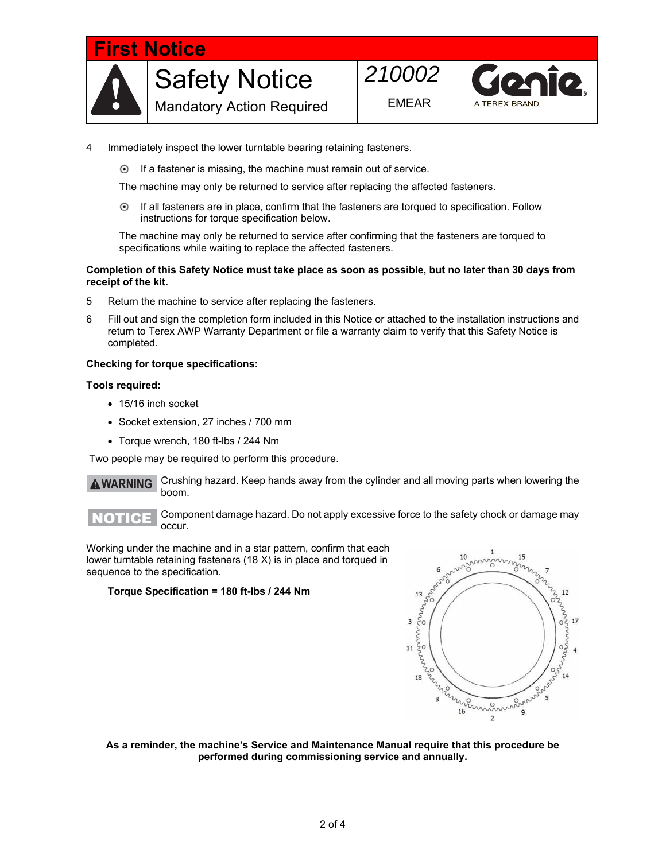

- 4 Immediately inspect the lower turntable bearing retaining fasteners.
	- $\odot$  If a fastener is missing, the machine must remain out of service.

The machine may only be returned to service after replacing the affected fasteners.

 If all fasteners are in place, confirm that the fasteners are torqued to specification. Follow instructions for torque specification below.  $\odot$ 

The machine may only be returned to service after confirming that the fasteners are torqued to specifications while waiting to replace the affected fasteners.

### **Completion of this Safety Notice must take place as soon as possible, but no later than 30 days from receipt of the kit.**

- 5 Return the machine to service after replacing the fasteners.
- 6 Fill out and sign the completion form included in this Notice or attached to the installation instructions and return to Terex AWP Warranty Department or file a warranty claim to verify that this Safety Notice is completed.

### **Checking for torque specifications:**

### **Tools required:**

- 15/16 inch socket
- Socket extension, 27 inches / 700 mm
- Torque wrench, 180 ft-lbs / 244 Nm

Two people may be required to perform this procedure.

Crushing hazard. Keep hands away from the cylinder and all moving parts when lowering the boom. **WARNING** A



Component damage hazard. Do not apply excessive force to the safety chock or damage may occur.

Working under the machine and in a star pattern, confirm that each lower turntable retaining fasteners (18 X) is in place and torqued in sequence to the specification.

### **Torque Specification = 180 ft-lbs / 244 Nm**



**As a reminder, the machine's Service and Maintenance Manual require that this procedure be performed during commissioning service and annually.**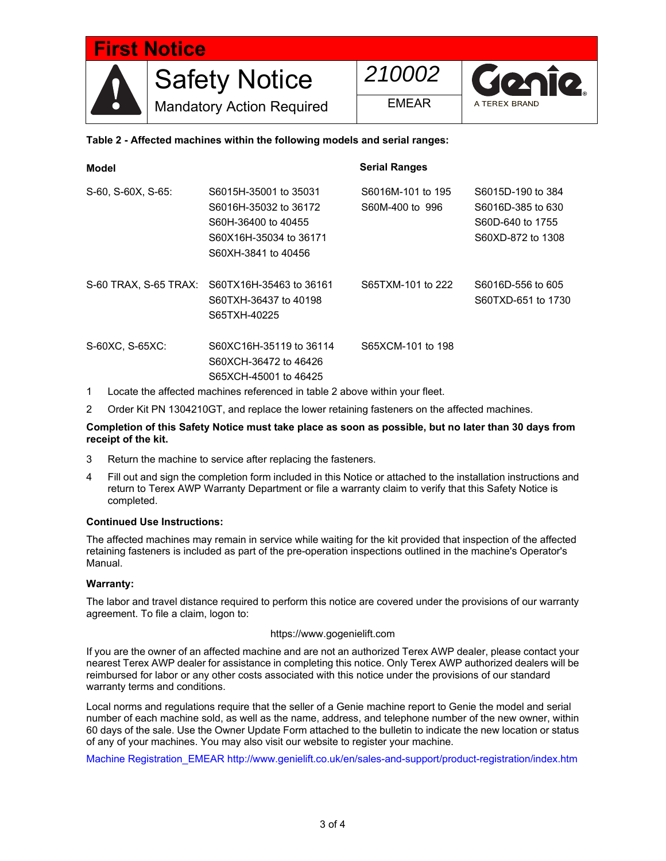

# **Table 2 - Affected machines within the following models and serial ranges:**

| Model              |                                                                                                                        | <b>Serial Ranges</b>                 |                                                                                 |  |  |
|--------------------|------------------------------------------------------------------------------------------------------------------------|--------------------------------------|---------------------------------------------------------------------------------|--|--|
| S-60, S-60X, S-65: | S6015H-35001 to 35031<br>S6016H-35032 to 36172<br>S60H-36400 to 40455<br>S60X16H-35034 to 36171<br>S60XH-3841 to 40456 | S6016M-101 to 195<br>S60M-400 to 996 | S6015D-190 to 384<br>S6016D-385 to 630<br>S60D-640 to 1755<br>S60XD-872 to 1308 |  |  |
|                    | S-60 TRAX, S-65 TRAX: S60TX16H-35463 to 36161<br>S60TXH-36437 to 40198<br>S65TXH-40225                                 | S65TXM-101 to 222                    | S6016D-556 to 605<br>S60TXD-651 to 1730                                         |  |  |
| S-60XC, S-65XC:    | S60XC16H-35119 to 36114<br>S60XCH-36472 to 46426<br>S65XCH-45001 to 46425                                              | S65XCM-101 to 198                    |                                                                                 |  |  |
| 1                  | Locate the affected machines referenced in table 2 above within your fleet.                                            |                                      |                                                                                 |  |  |

2 Order Kit PN 1304210GT, and replace the lower retaining fasteners on the affected machines.

### **Completion of this Safety Notice must take place as soon as possible, but no later than 30 days from receipt of the kit.**

- 3 Return the machine to service after replacing the fasteners.
- 4 Fill out and sign the completion form included in this Notice or attached to the installation instructions and return to Terex AWP Warranty Department or file a warranty claim to verify that this Safety Notice is completed.

### **Continued Use Instructions:**

The affected machines may remain in service while waiting for the kit provided that inspection of the affected retaining fasteners is included as part of the pre-operation inspections outlined in the machine's Operator's Manual.

## **Warranty:**

The labor and travel distance required to perform this notice are covered under the provisions of our warranty agreement. To file a claim, logon to:

### https://www.gogenielift.com

If you are the owner of an affected machine and are not an authorized Terex AWP dealer, please contact your nearest Terex AWP dealer for assistance in completing this notice. Only Terex AWP authorized dealers will be reimbursed for labor or any other costs associated with this notice under the provisions of our standard warranty terms and conditions.

Local norms and regulations require that the seller of a Genie machine report to Genie the model and serial number of each machine sold, as well as the name, address, and telephone number of the new owner, within 60 days of the sale. Use the Owner Update Form attached to the bulletin to indicate the new location or status of any of your machines. You may also visit our website to register your machine.

Machine Registration\_EMEAR http://www.genielift.co.uk/en/sales-and-support/product-registration/index.htm